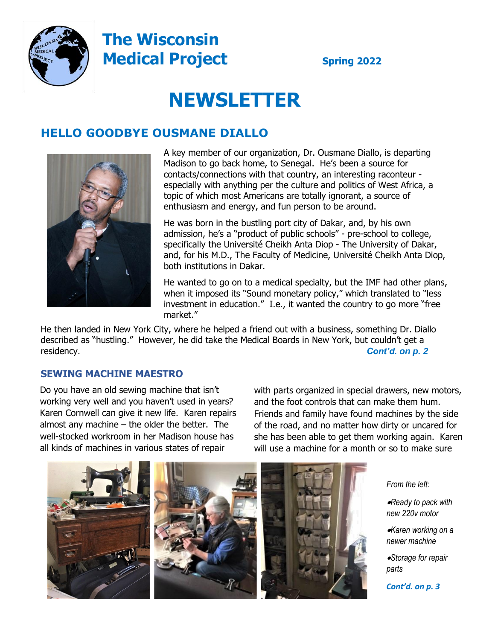

## **The Wisconsin Medical Project** Spring 2022

# **NEWSLETTER**

### **HELLO GOODBYE OUSMANE DIALLO**



A key member of our organization, Dr. Ousmane Diallo, is departing Madison to go back home, to Senegal. He's been a source for contacts/connections with that country, an interesting raconteur especially with anything per the culture and politics of West Africa, a topic of which most Americans are totally ignorant, a source of enthusiasm and energy, and fun person to be around.

He was born in the bustling port city of Dakar, and, by his own admission, he's a "product of public schools" - pre-school to college, specifically the Université Cheikh Anta Diop - The University of Dakar, and, for his M.D., The Faculty of Medicine, Université Cheikh Anta Diop, both institutions in Dakar.

He wanted to go on to a medical specialty, but the IMF had other plans, when it imposed its "Sound monetary policy," which translated to "less investment in education." I.e., it wanted the country to go more "free market."

He then landed in New York City, where he helped a friend out with a business, something Dr. Diallo described as "hustling." However, he did take the Medical Boards in New York, but couldn't get a residency. *Cont'd. on p. 2*

### **SEWING MACHINE MAESTRO**

Do you have an old sewing machine that isn't working very well and you haven't used in years? Karen Cornwell can give it new life. Karen repairs almost any machine – the older the better. The well-stocked workroom in her Madison house has all kinds of machines in various states of repair

with parts organized in special drawers, new motors, and the foot controls that can make them hum. Friends and family have found machines by the side of the road, and no matter how dirty or uncared for she has been able to get them working again. Karen will use a machine for a month or so to make sure



#### *From the left:*

•*Ready to pack with new 220v motor*

•*Karen working on a newer machine*

•*Storage for repair parts* 

*Cont'd. on p. 3*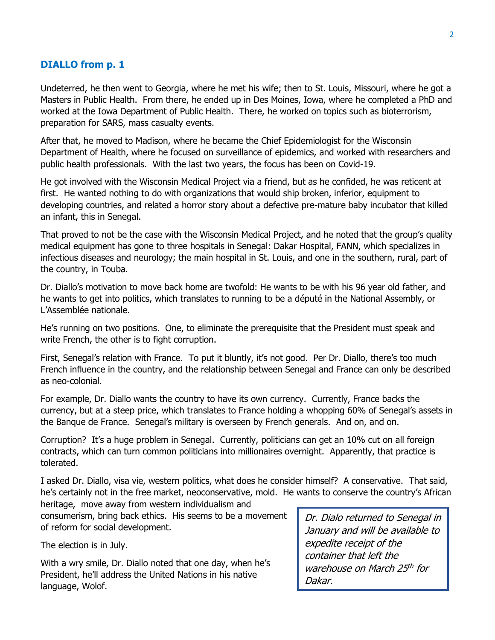#### **DIALLO from p. 1**

Undeterred, he then went to Georgia, where he met his wife; then to St. Louis, Missouri, where he got a Masters in Public Health. From there, he ended up in Des Moines, Iowa, where he completed a PhD and worked at the Iowa Department of Public Health. There, he worked on topics such as bioterrorism, preparation for SARS, mass casualty events.

After that, he moved to Madison, where he became the Chief Epidemiologist for the Wisconsin Department of Health, where he focused on surveillance of epidemics, and worked with researchers and public health professionals. With the last two years, the focus has been on Covid-19.

He got involved with the Wisconsin Medical Project via a friend, but as he confided, he was reticent at first. He wanted nothing to do with organizations that would ship broken, inferior, equipment to developing countries, and related a horror story about a defective pre-mature baby incubator that killed an infant, this in Senegal.

That proved to not be the case with the Wisconsin Medical Project, and he noted that the group's quality medical equipment has gone to three hospitals in Senegal: Dakar Hospital, FANN, which specializes in infectious diseases and neurology; the main hospital in St. Louis, and one in the southern, rural, part of the country, in Touba.

Dr. Diallo's motivation to move back home are twofold: He wants to be with his 96 year old father, and he wants to get into politics, which translates to running to be a député in the National Assembly, or L'Assemblée nationale.

He's running on two positions. One, to eliminate the prerequisite that the President must speak and write French, the other is to fight corruption.

First, Senegal's relation with France. To put it bluntly, it's not good. Per Dr. Diallo, there's too much French influence in the country, and the relationship between Senegal and France can only be described as neo-colonial.

For example, Dr. Diallo wants the country to have its own currency. Currently, France backs the currency, but at a steep price, which translates to France holding a whopping 60% of Senegal's assets in the Banque de France. Senegal's military is overseen by French generals. And on, and on.

Corruption? It's a huge problem in Senegal. Currently, politicians can get an 10% cut on all foreign contracts, which can turn common politicians into millionaires overnight. Apparently, that practice is tolerated.

I asked Dr. Diallo, visa vie, western politics, what does he consider himself? A conservative. That said, he's certainly not in the free market, neoconservative, mold. He wants to conserve the country's African heritage, move away from western individualism and

consumerism, bring back ethics. His seems to be a movement of reform for social development.

The election is in July.

With a wry smile, Dr. Diallo noted that one day, when he's President, he'll address the United Nations in his native language, Wolof.

Dr. Dialo returned to Senegal in January and will be available to expedite receipt of the container that left the warehouse on March 25th for Dakar.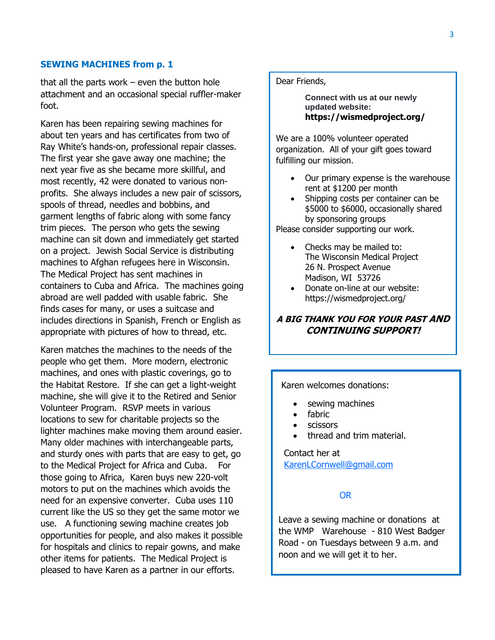#### **SEWING MACHINES from p. 1**

that all the parts work – even the button hole attachment and an occasional special ruffler-maker foot.

Karen has been repairing sewing machines for about ten years and has certificates from two of Ray White's hands-on, professional repair classes. The first year she gave away one machine; the next year five as she became more skillful, and most recently, 42 were donated to various nonprofits. She always includes a new pair of scissors, spools of thread, needles and bobbins, and garment lengths of fabric along with some fancy trim pieces. The person who gets the sewing machine can sit down and immediately get started on a project. Jewish Social Service is distributing machines to Afghan refugees here in Wisconsin. The Medical Project has sent machines in containers to Cuba and Africa. The machines going abroad are well padded with usable fabric. She finds cases for many, or uses a suitcase and includes directions in Spanish, French or English as appropriate with pictures of how to thread, etc.

Karen matches the machines to the needs of the people who get them. More modern, electronic machines, and ones with plastic coverings, go to the Habitat Restore. If she can get a light-weight machine, she will give it to the Retired and Senior Volunteer Program. RSVP meets in various locations to sew for charitable projects so the lighter machines make moving them around easier. Many older machines with interchangeable parts, and sturdy ones with parts that are easy to get, go to the Medical Project for Africa and Cuba. For those going to Africa, Karen buys new 220-volt motors to put on the machines which avoids the need for an expensive converter. Cuba uses 110 current like the US so they get the same motor we use. A functioning sewing machine creates job opportunities for people, and also makes it possible for hospitals and clinics to repair gowns, and make other items for patients. The Medical Project is pleased to have Karen as a partner in our efforts.

Dear Friends,

**Connect with us at our newly updated website: https://wismedproject.org/**

We are a 100% volunteer operated organization. All of your gift goes toward fulfilling our mission.

- Our primary expense is the warehouse rent at \$1200 per month
- Shipping costs per container can be \$5000 to \$6000, occasionally shared by sponsoring groups

Please consider supporting our work.

- Checks may be mailed to: The Wisconsin Medical Project 26 N. Prospect Avenue Madison, WI 53726
- Donate on-line at our website: https://wismedproject.org/

#### **A BIG THANK YOU FOR YOUR PAST AND CONTINUING SUPPORT!**

Karen welcomes donations:

- sewing machines
- fabric
- scissors
- thread and trim material.

Contact her at [KarenLCornwell@gmail.com](mailto:KarenLCornwell@gmail.com) 

#### OR

Leave a sewing machine or donations at the WMP Warehouse - 810 West Badger Road - on Tuesdays between 9 a.m. and noon and we will get it to her.